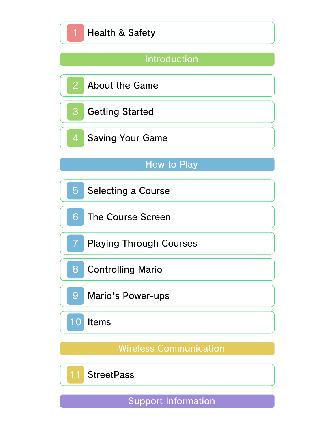## Introduction



StreetPass

Support Information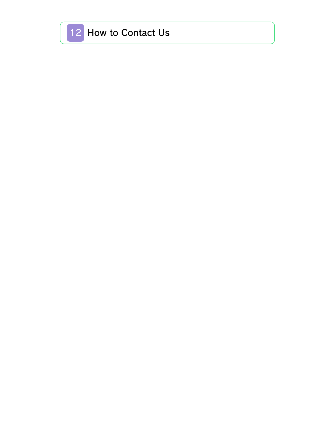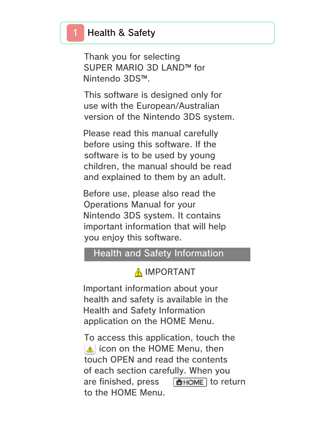### Health & Safety

Thank you for selecting SUPER MARIO 3D LAND™ for Nintendo 3DS™.

This software is designed only for use with the European/Australian version of the Nintendo 3DS system.

Please read this manual carefully before using this software. If the software is to be used by young children, the manual should be read and explained to them by an adult.

Before use, please also read the Operations Manual for your Nintendo 3DS system. It contains important information that will help you enjoy this software.

#### Health and Safety Information

#### A IMPORTANT

Important information about your health and safety is available in the Health and Safety Information application on the HOME Menu.

To access this application, touch the **i** icon on the HOME Menu, then touch OPEN and read the contents of each section carefully. When you are finished, press  $\sqrt{\frac{A}{c}}$  Figures are finished, press  $\sqrt{\frac{A}{c}}$ to the HOME Menu.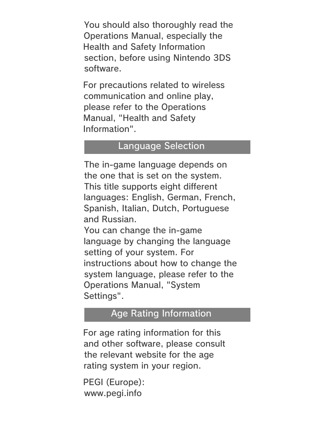You should also thoroughly read the Operations Manual, especially the Health and Safety Information section, before using Nintendo 3DS software.

For precautions related to wireless communication and online play, please refer to the Operations Manual, "Health and Safety Information".

#### Language Selection

The in-game language depends on the one that is set on the system. This title supports eight different languages: English, German, French, Spanish, Italian, Dutch, Portuguese and Russian.

You can change the in-game language by changing the language setting of your system. For instructions about how to change the system language, please refer to the Operations Manual, "System Settings".

### Age Rating Information

For age rating information for this and other software, please consult the relevant website for the age rating system in your region.

```
www.pegi.info
PEGI (Europe):
```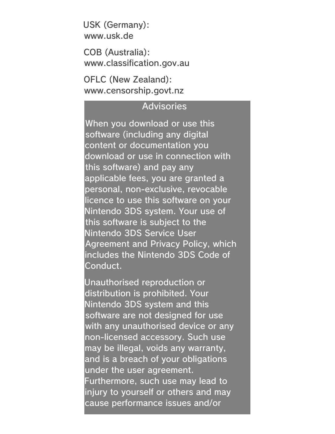USK (Germany): www.usk.de

COB (Australia): www.classification.gov.au

OFLC (New Zealand): www.censorship.govt.nz

#### **Advisories**

When you download or use this software (including any digital content or documentation you download or use in connection with this software) and pay any applicable fees, you are granted a personal, non-exclusive, revocable licence to use this software on your Nintendo 3DS system. Your use of this software is subject to the Nintendo 3DS Service User Agreement and Privacy Policy, which includes the Nintendo 3DS Code of Conduct.

Unauthorised reproduction or distribution is prohibited. Your Nintendo 3DS system and this software are not designed for use with any unauthorised device or any non-licensed accessory. Such use may be illegal, voids any warranty, and is a breach of your obligations under the user agreement. Furthermore, such use may lead to injury to yourself or others and may cause performance issues and/or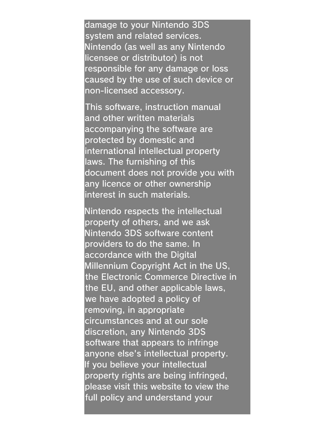damage to your Nintendo 3DS system and related services. Nintendo (as well as any Nintendo licensee or distributor) is not responsible for any damage or loss caused by the use of such device or non-licensed accessory.

This software, instruction manual and other written materials accompanying the software are protected by domestic and international intellectual property laws. The furnishing of this document does not provide you with any licence or other ownership interest in such materials.

Nintendo respects the intellectual property of others, and we ask Nintendo 3DS software content providers to do the same. In accordance with the Digital Millennium Copyright Act in the US, the Electronic Commerce Directive in the EU, and other applicable laws, we have adopted a policy of removing, in appropriate circumstances and at our sole discretion, any Nintendo 3DS software that appears to infringe anyone else's intellectual property. If you believe your intellectual property rights are being infringed, please visit this website to view the full policy and understand your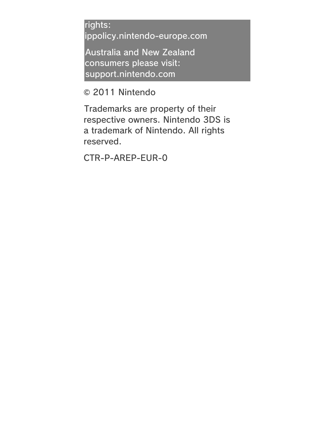rights: ippolicy.nintendo-europe.com

Australia and New Zealand consumers please visit: support.nintendo.com

© 2011 Nintendo

Trademarks are property of their respective owners. Nintendo 3DS is a trademark of Nintendo. All rights reserved.

CTR-P-AREP-EUR-0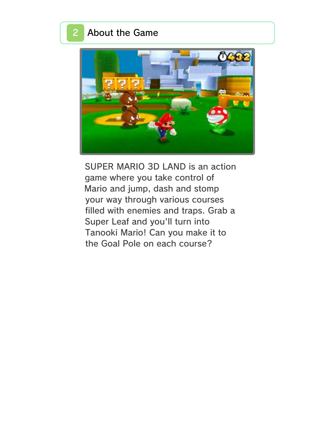### 2 About the Game



SUPER MARIO 3D LAND is an action game where you take control of Mario and jump, dash and stomp your way through various courses filled with enemies and traps. Grab a Super Leaf and you'll turn into Tanooki Mario! Can you make it to the Goal Pole on each course?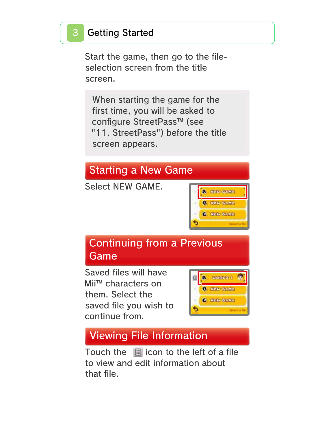## **Getting Started**

Start the game, then go to the fileselection screen from the title screen.

When starting the game for the first time, you will be asked to configure StreetPass™ (see "11. StreetPass") before the title screen appears.

## Starting a New Game

Select NEW GAME.



## Continuing from a Previous Game

Saved files will have Mii™ characters on them. Select the saved file you wish to continue from.



## Viewing File Information

Touch the  $\Box$  icon to the left of a file to view and edit information about that file.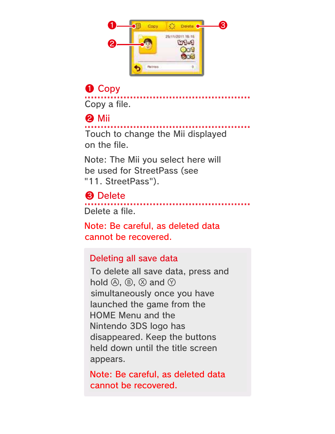

# ❶ Copy

Copy a file.

## ❷ Mii

Touch to change the Mii displayed on the file.

Note: The Mii you select here will be used for StreetPass (see "11. StreetPass").

### ❸ Delete

Delete a file.

Note: Be careful, as deleted data cannot be recovered.

#### Deleting all save data

To delete all save data, press and hold  $\circledA$ ,  $\circledB$ ,  $\circledB$  and  $\circledD$ simultaneously once you have launched the game from the HOME Menu and the Nintendo 3DS logo has disappeared. Keep the buttons held down until the title screen appears.

Note: Be careful, as deleted data cannot be recovered.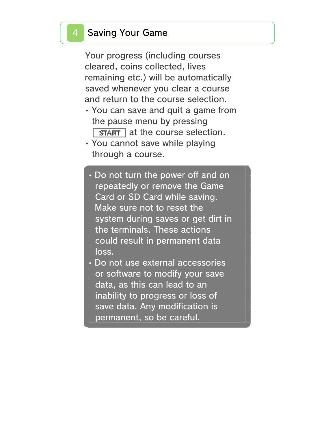#### **Saving Your Game**

Your progress (including courses cleared, coins collected, lives remaining etc.) will be automatically saved whenever you clear a course and return to the course selection.

- You can save and quit a game from the pause menu by pressing  $\sqrt{\text{STAT}}$  at the course selection.
- You cannot save while playing through a course.
	- Do not turn the power off and on repeatedly or remove the Game Card or SD Card while saving. Make sure not to reset the system during saves or get dirt in the terminals. These actions could result in permanent data loss.
- Do not use external accessories or software to modify your save data, as this can lead to an inability to progress or loss of save data. Any modification is permanent, so be careful.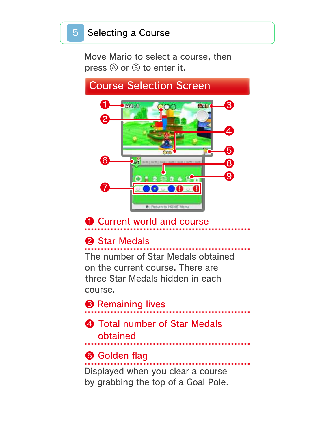Move Mario to select a course, then press  $\circledA$  or  $\circledB$  to enter it.

#### Course Selection Screen ❶  $-170 - 1$ ❸ ecs. 200 ❷ ❹ ❺ ❻ ❽ ❾  $2 + 3$ ❼ **Q** : Perfutin to: HOME Memu

## **O** Current world and course

## **2** Star Medals

The number of Star Medals obtained on the current course. There are three Star Medals hidden in each course.

# **<sup>6</sup>** Remaining lives

### **4** Total number of Star Medals obtained

## **O** Golden flag

Displayed when you clear a course by grabbing the top of a Goal Pole.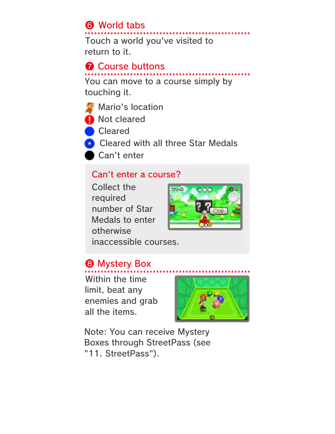## **6** World tabs

Touch a world you've visited to return to it.

#### **↑ Course buttons**

You can move to a course simply by touching it.



**O** Not cleared

**Cleared** 

**Cleared with all three Star Medals** 

Can't enter

#### Can't enter a course?

Collect the required number of Star Medals to enter otherwise



inaccessible courses.

## **& Mystery Box**

Within the time limit, beat any enemies and grab all the items.



Note: You can receive Mystery Boxes through StreetPass (see "11. StreetPass").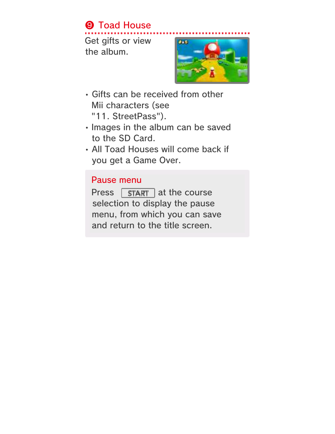## **9 Toad House**

Get gifts or view the album.



- Gifts can be received from other Mii characters (see "11. StreetPass").
- Images in the album can be saved to the SD Card.
- All Toad Houses will come back if you get a Game Over.

#### Pause menu

Press  $\sqrt{START}$  at the course selection to display the pause menu, from which you can save and return to the title screen.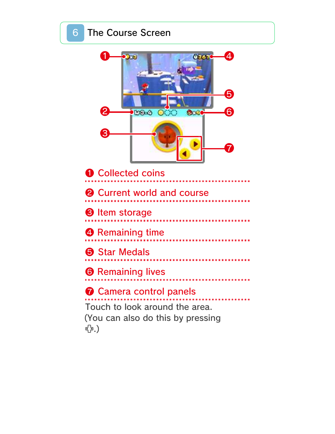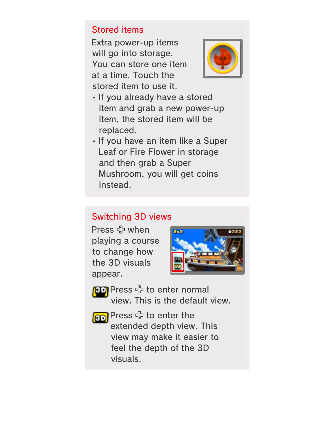#### Stored items

Extra power-up items will go into storage. You can store one item at a time. Touch the stored item to use it.



- If you already have a stored item and grab a new power-up item, the stored item will be replaced.
- If you have an item like a Super Leaf or Fire Flower in storage and then grab a Super Mushroom, you will get coins instead.

#### Switching 3D views

Press  $\clubsuit$  when playing a course to change how the 3D visuals appear.



**BD** Press <sup>e</sup>to enter normal view. This is the default view.

**80** Press + to enter the extended depth view. This view may make it easier to feel the depth of the 3D visuals.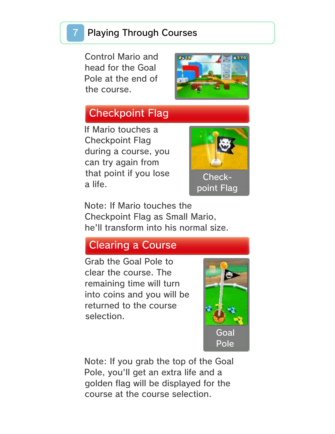### **Playing Through Courses**

Control Mario and head for the Goal Pole at the end of the course.



## Checkpoint Flag

If Mario touches a Checkpoint Flag during a course, you can try again from that point if you lose a life.



Note: If Mario touches the Checkpoint Flag as Small Mario, he'll transform into his normal size.

## Clearing a Course

Grab the Goal Pole to clear the course. The remaining time will turn into coins and you will be returned to the course selection.



Note: If you grab the top of the Goal Pole, you'll get an extra life and a golden flag will be displayed for the course at the course selection.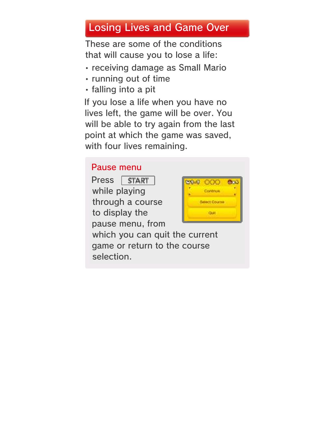## Losing Lives and Game Over

These are some of the conditions that will cause you to lose a life:

- receiving damage as Small Mario
- running out of time
- falling into a pit

If you lose a life when you have no lives left, the game will be over. You will be able to try again from the last point at which the game was saved, with four lives remaining.

#### Pause menu

Press START while playing through a course to display the pause menu, from



which you can quit the current game or return to the course selection.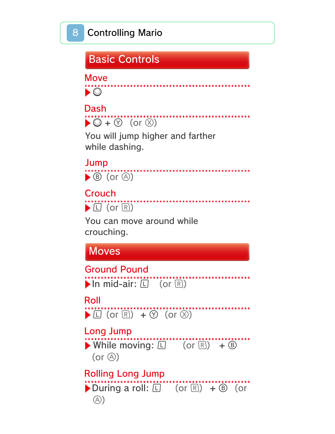## Basic Controls

Move

 $\bullet$  0

## Dash



You will jump higher and farther while dashing.

. . . . . . . . . . . . . . . .

# Jump

 $\blacktriangleright$   $\circledcirc$  (or  $\circledcirc$ )

 $\blacktriangleright$   $\square$  (or  $\square$ ) Crouch

You can move around while crouching.

Moves

In mid-air:  $\Box$  (or  $\Box$ ) Ground Pound

## Roll

 $\blacktriangleright$   $\Box$  (or  $\overline{R}$ ) +  $\oslash$  (or  $\oslash$ )

## Long Jump

 $\blacktriangleright$  While moving:  $\square$  (or  $\square$ ) +  $\circledcirc$  $(or  $\circledA)$ )$ 

During a roll:  $\Box$  (or  $\Box$ ) +  $\Box$  (or  $\circled{A}$ Rolling Long Jump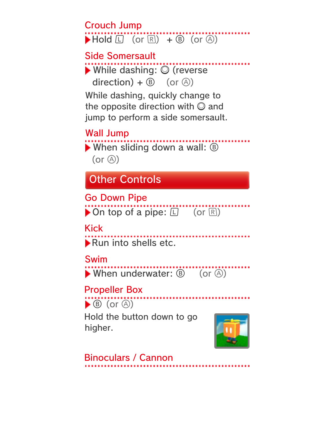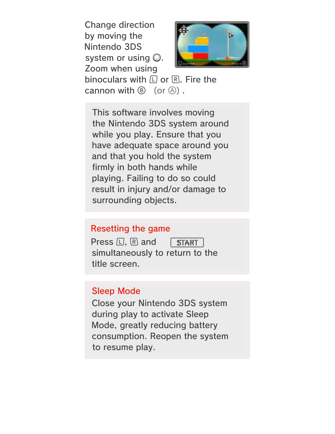Change direction by moving the Nintendo 3DS system or using  $\mathbb{O}$ . Zoom when using



binoculars with  $\Box$  or  $\mathbb{R}$ . Fire the cannon with  $(\mathbb{B})$  (or  $(\mathbb{A})$ ).

This software involves moving the Nintendo 3DS system around while you play. Ensure that you have adequate space around you and that you hold the system firmly in both hands while playing. Failing to do so could result in injury and/or damage to surrounding objects.

#### Resetting the game

Press  $\Box$ .  $\Box$  and START simultaneously to return to the title screen.

#### Sleep Mode

Close your Nintendo 3DS system during play to activate Sleep Mode, greatly reducing battery consumption. Reopen the system to resume play.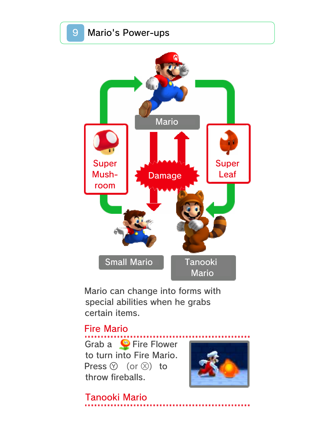

Mario can change into forms with special abilities when he grabs certain items.

#### Fire Mario

Grab a  $\bigcirc$  Fire Flower to turn into Fire Mario. Press  $\circledcirc$  (or  $\circledcirc$ ) to throw fireballs.



Tanooki Mario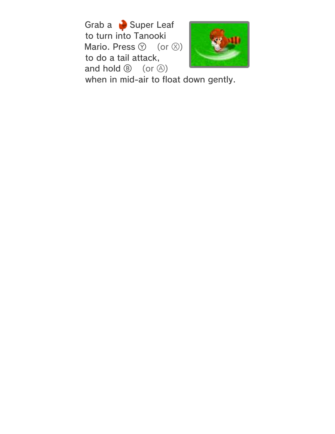Grab a **Super Leaf** to turn into Tanooki Mario. Press  $\circledcirc$  (or  $\circledcirc$ ) to do a tail attack, and hold  $\circledcirc$  (or  $\circledcirc$ )



when in mid-air to float down gently.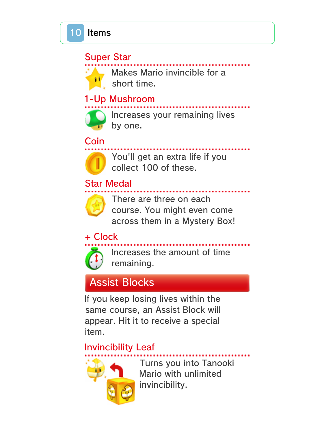#### Super Star

Makes Mario invincible for a short time.

### 1-Up Mushroom



Increases your remaining lives by one.

Coin



You'll get an extra life if you collect 100 of these.

## Star Medal



There are three on each course. You might even come across them in a Mystery Box!

+ Clock



Increases the amount of time remaining.

## Assist Blocks

If you keep losing lives within the same course, an Assist Block will appear. Hit it to receive a special item.

### Invincibility Leaf



Turns you into Tanooki Mario with unlimited invincibility.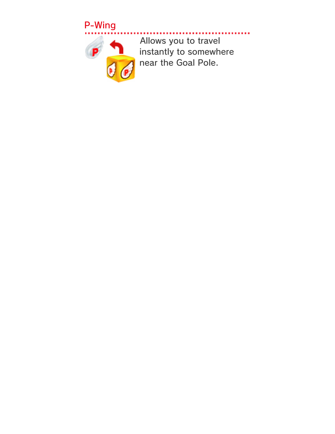## P-Wing



..... Allows you to travel instantly to somewhere near the Goal Pole.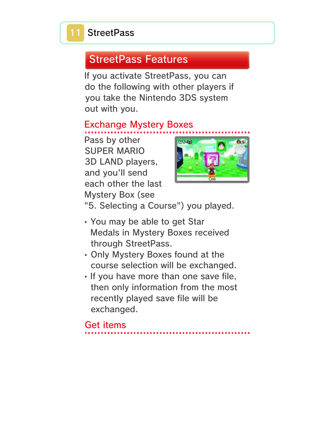## StreetPass Features

If you activate StreetPass, you can do the following with other players if you take the Nintendo 3DS system out with you.

### Exchange Mystery Boxes

Pass by other SUPER MARIO 3D LAND players, and you'll send each other the last Mystery Box (see



"5. Selecting a Course") you played.

- You may be able to get Star Medals in Mystery Boxes received through StreetPass.
- Only Mystery Boxes found at the course selection will be exchanged.
- If you have more than one save file, then only information from the most recently played save file will be exchanged.

Get items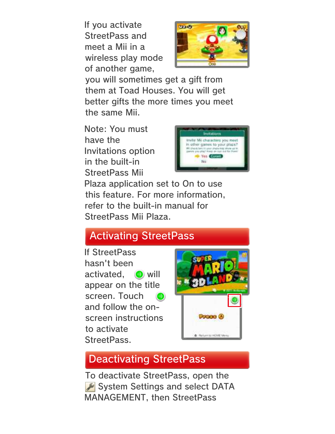If you activate StreetPass and meet a Mii in a wireless play mode of another game,



you will sometimes get a gift from them at Toad Houses. You will get better gifts the more times you meet the same Mii.

Note: You must have the Invitations option in the built-in StreetPass Mii



Plaza application set to On to use this feature. For more information, refer to the built-in manual for StreetPass Mii Plaza.

## Activating StreetPass

If StreetPass hasn't been activated, **the will** appear on the title screen. Touch and follow the onscreen instructions to activate StreetPass.



## Deactivating StreetPass

To deactivate StreetPass, open the System Settings and select DATA MANAGEMENT, then StreetPass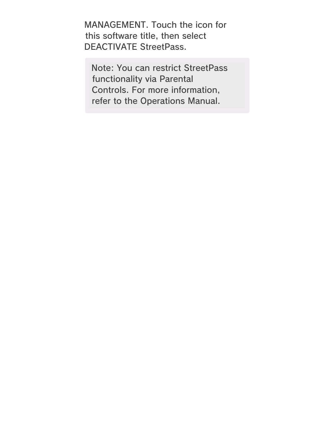MANAGEMENT. Touch the icon for this software title, then select DEACTIVATE StreetPass.

Note: You can restrict StreetPass functionality via Parental Controls. For more information, refer to the Operations Manual.